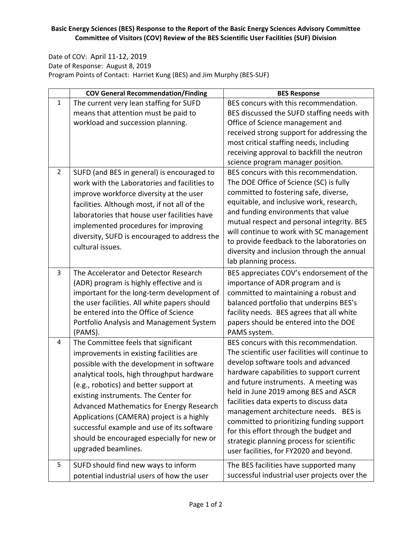## **Basic Energy Sciences (BES) Response to the Report of the Basic Energy Sciences Advisory Committee Committee of Visitors (COV) Review of the BES Scientific User Facilities (SUF) Division**

Date of COV: April 11‐12, 2019 Date of Response: August 8, 2019 Program Points of Contact: Harriet Kung (BES) and Jim Murphy (BES‐SUF)

|                | <b>COV General Recommendation/Finding</b>                                                                                                                                                                                                                                                                                                                                                                                                                                | <b>BES Response</b>                                                                                                                                                                                                                                                                                                                                                                                                                                                                                                             |
|----------------|--------------------------------------------------------------------------------------------------------------------------------------------------------------------------------------------------------------------------------------------------------------------------------------------------------------------------------------------------------------------------------------------------------------------------------------------------------------------------|---------------------------------------------------------------------------------------------------------------------------------------------------------------------------------------------------------------------------------------------------------------------------------------------------------------------------------------------------------------------------------------------------------------------------------------------------------------------------------------------------------------------------------|
| $\mathbf{1}$   | The current very lean staffing for SUFD<br>means that attention must be paid to<br>workload and succession planning.                                                                                                                                                                                                                                                                                                                                                     | BES concurs with this recommendation.<br>BES discussed the SUFD staffing needs with<br>Office of Science management and<br>received strong support for addressing the<br>most critical staffing needs, including<br>receiving approval to backfill the neutron<br>science program manager position.                                                                                                                                                                                                                             |
| $\overline{2}$ | SUFD (and BES in general) is encouraged to<br>work with the Laboratories and facilities to<br>improve workforce diversity at the user<br>facilities. Although most, if not all of the<br>laboratories that house user facilities have<br>implemented procedures for improving<br>diversity, SUFD is encouraged to address the<br>cultural issues.                                                                                                                        | BES concurs with this recommendation.<br>The DOE Office of Science (SC) is fully<br>committed to fostering safe, diverse,<br>equitable, and inclusive work, research,<br>and funding environments that value<br>mutual respect and personal integrity. BES<br>will continue to work with SC management<br>to provide feedback to the laboratories on<br>diversity and inclusion through the annual<br>lab planning process.                                                                                                     |
| 3              | The Accelerator and Detector Research<br>(ADR) program is highly effective and is<br>important for the long-term development of<br>the user facilities. All white papers should<br>be entered into the Office of Science<br>Portfolio Analysis and Management System<br>(PAMS).                                                                                                                                                                                          | BES appreciates COV's endorsement of the<br>importance of ADR program and is<br>committed to maintaining a robust and<br>balanced portfolio that underpins BES's<br>facility needs. BES agrees that all white<br>papers should be entered into the DOE<br>PAMS system.                                                                                                                                                                                                                                                          |
| 4              | The Committee feels that significant<br>improvements in existing facilities are<br>possible with the development in software<br>analytical tools, high throughput hardware<br>(e.g., robotics) and better support at<br>existing instruments. The Center for<br>Advanced Mathematics for Energy Research<br>Applications (CAMERA) project is a highly<br>successful example and use of its software<br>should be encouraged especially for new or<br>upgraded beamlines. | BES concurs with this recommendation.<br>The scientific user facilities will continue to<br>develop software tools and advanced<br>hardware capabilities to support current<br>and future instruments. A meeting was<br>held in June 2019 among BES and ASCR<br>facilities data experts to discuss data<br>management architecture needs. BES is<br>committed to prioritizing funding support<br>for this effort through the budget and<br>strategic planning process for scientific<br>user facilities, for FY2020 and beyond. |
| 5              | SUFD should find new ways to inform<br>potential industrial users of how the user                                                                                                                                                                                                                                                                                                                                                                                        | The BES facilities have supported many<br>successful industrial user projects over the                                                                                                                                                                                                                                                                                                                                                                                                                                          |